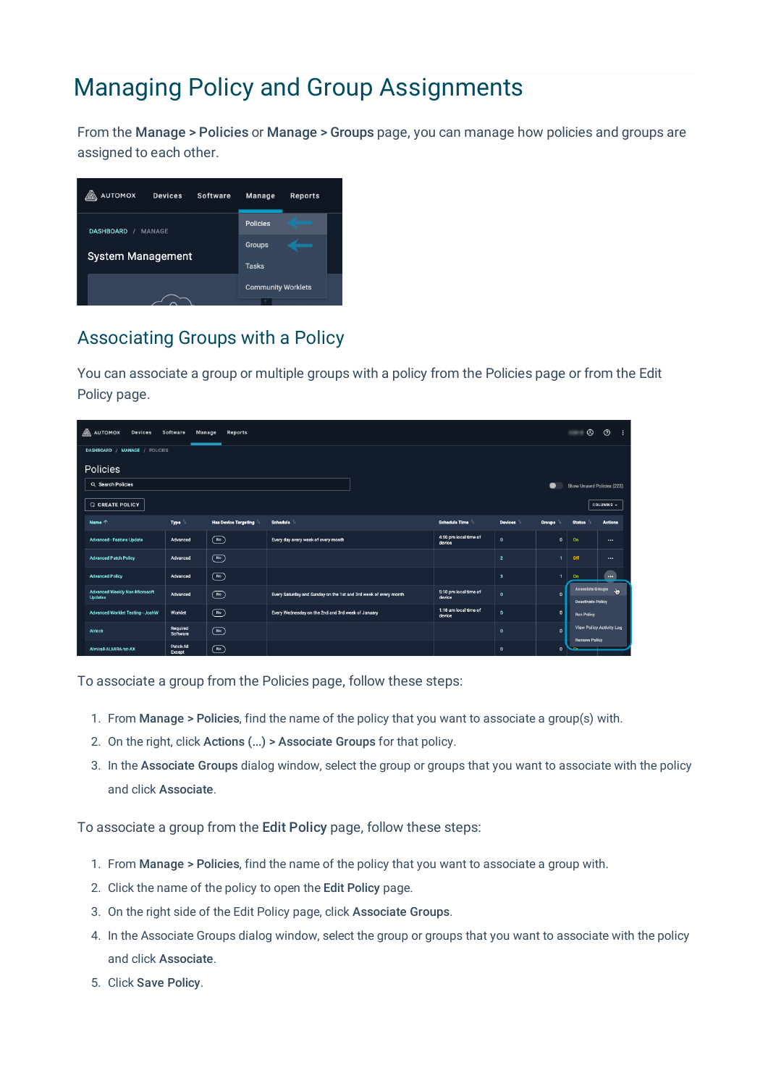# Managing Policy and Group Assignments

From the Manage > Policies or Manage > Groups page, you can manage how policies and groups are assigned to each other.



## Associating Groups with a Policy

You can associate a group or multiple groups with a policy from the Policies page or from the Edit Policy page.

| $\mathbb{A}$ automox<br>Software<br><b>Devices</b><br>Reports<br>Manage |                      |                                     |                                                                  |  |                                 | ⊛                       | <u>ඉ</u>            |                          |                          |
|-------------------------------------------------------------------------|----------------------|-------------------------------------|------------------------------------------------------------------|--|---------------------------------|-------------------------|---------------------|--------------------------|--------------------------|
| DASHBOARD / MANAGE / POLICIES                                           |                      |                                     |                                                                  |  |                                 |                         |                     |                          |                          |
| Policies                                                                |                      |                                     |                                                                  |  |                                 |                         |                     |                          |                          |
| Q Search Policies                                                       |                      |                                     |                                                                  |  | Show Unused Policies (223)      |                         |                     |                          |                          |
| <b>G</b> CREATE POLICY                                                  |                      |                                     |                                                                  |  |                                 |                         |                     | COLUMNS -                |                          |
| Name $\uparrow$                                                         | Type <sup>1</sup>    | Has Device Targeting                | <b>Schedule</b>                                                  |  | Schedule Time                   | <b>Devices</b>          | Groups <sup>1</sup> | <b>Status</b>            | <b>Actions</b>           |
| <b>Advanced - Feature Update</b>                                        | Advanced             | $\overline{(\mathsf{N}\circ)}$      | Every day every week of every month                              |  | 4:50 pm local time of<br>device | $\mathbf{o}$            | $\mathfrak o$       | On                       | $\cdots$                 |
| <b>Advanced Patch Policy</b>                                            | Advanced             | $(\sqrt{N\sigma})$                  |                                                                  |  |                                 | $\overline{2}$          | ٠                   | Off                      | $\cdots$                 |
| <b>Advanced Policy</b>                                                  | Advanced             | $\circled{r}$                       |                                                                  |  |                                 | $\overline{\mathbf{3}}$ | 1                   | On:                      | $\cdots$                 |
| <b>Advanced Weekly Non-Microsoft</b><br><b>Updates</b>                  | Advanced             | $\overline{(\mathsf{N}\mathsf{o})}$ | Every Saturday and Sunday on the 1st and 3rd week of every month |  | 5:10 pm local time of<br>device | $\mathbf{o}$            | $\Omega$            | <b>Deactivate Policy</b> | Associate Groups W       |
| Advanced Worklet Testing - JoshW                                        | Worklet              | $\circled{r}$                       | Every Wednesday on the 2nd and 3rd week of January               |  | 1:18 am local time of<br>device | $\mathbf{0}$            | $\mathfrak o$       | <b>Run Policy</b>        |                          |
| Airlock                                                                 | Required<br>Software | $(\sqrt{N_0})$                      |                                                                  |  |                                 | $\Omega$                | $\mathbf{0}$        | <b>Remove Policy</b>     | View Policy Activity Log |
| Almirall-ALMIRA-tst-AX                                                  | Patch All<br>Except  | ("                                  |                                                                  |  |                                 | $\mathbf{0}$            | $\Omega$            |                          |                          |

To associate a group from the Policies page, follow these steps:

- 1. From Manage > Policies, find the name of the policy that you want to associate a group(s) with.
- 2. On the right, click Actions (...) > Associate Groups for that policy.
- 3. In the Associate Groups dialog window, select the group or groups that you want to associate with the policy and click Associate.

To associate a group from the Edit Policy page, follow these steps:

- 1. From Manage > Policies, find the name of the policy that you want to associate a group with.
- 2. Click the name of the policy to open the Edit Policy page.
- 3. On the right side of the Edit Policy page, click Associate Groups.
- 4. In the Associate Groups dialog window, select the group or groups that you want to associate with the policy and click Associate.
- 5. Click Save Policy.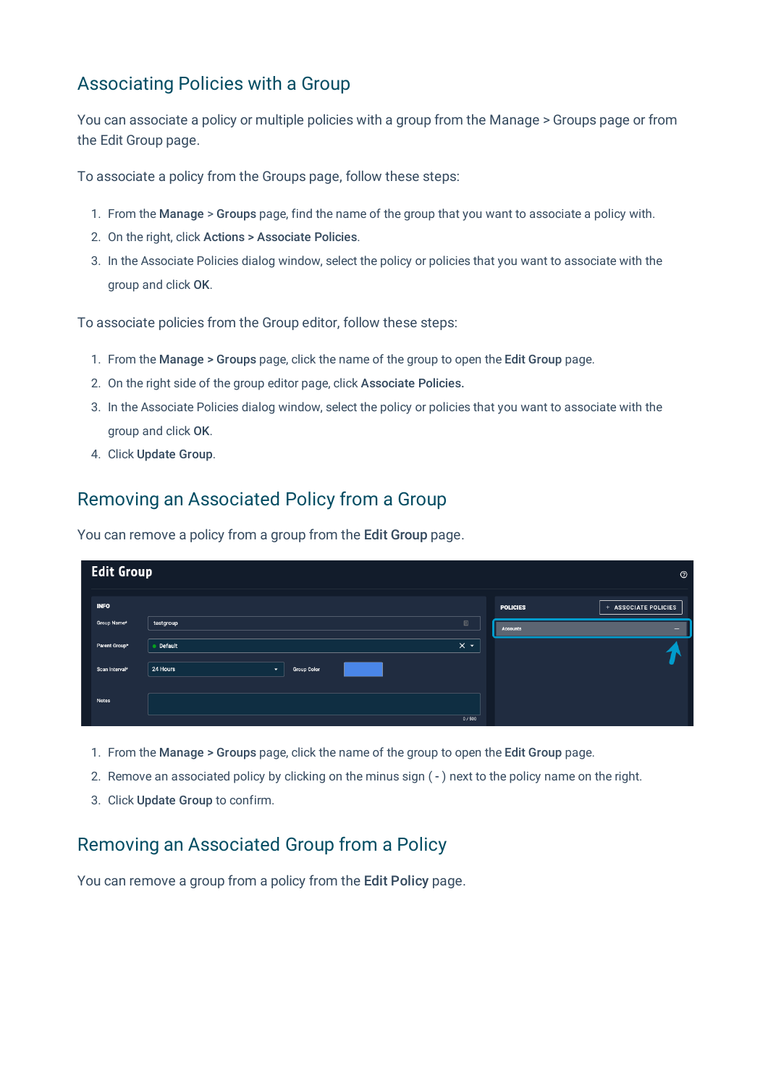### Associating Policies with a Group

You can associate a policy or multiple policies with a group from the Manage > Groups page or from the Edit Group page.

To associate a policy from the Groups page, follow these steps:

- 1. From the Manage > Groups page, find the name of the group that you want to associate a policy with.
- 2. On the right, click Actions > Associate Policies.
- 3. In the Associate Policies dialog window, select the policy or policies that you want to associate with the group and click OK.

To associate policies from the Group editor, follow these steps:

- 1. From the Manage > Groups page, click the name of the group to open the Edit Group page.
- 2. On the right side of the group editor page, click Associate Policies.
- 3. In the Associate Policies dialog window, select the policy or policies that you want to associate with the group and click OK.
- 4. Click Update Group.

#### Removing an Associated Policy from a Group

You can remove a policy from a group from the Edit Group page.

| <b>Edit Group</b><br>$\circledcirc$ |                                      |                    |                  |                 |                      |  |
|-------------------------------------|--------------------------------------|--------------------|------------------|-----------------|----------------------|--|
| <b>INFO</b>                         |                                      |                    |                  | <b>POLICIES</b> | + ASSOCIATE POLICIES |  |
| Group Name*                         | testgroup                            |                    | 回                | <b>Accounts</b> | -                    |  |
| Parent Group*                       | Default                              |                    | $\times$ $\cdot$ |                 |                      |  |
| Scan Interval <sup>*</sup>          | 24 Hours<br>$\overline{\phantom{a}}$ | <b>Group Color</b> |                  |                 |                      |  |
| <b>Notes</b>                        |                                      |                    | 0/500            |                 |                      |  |

- 1. From the Manage > Groups page, click the name of the group to open the Edit Group page.
- 2. Remove an associated policy by clicking on the minus sign ( ) next to the policy name on the right.
- 3. Click Update Group to confirm.

#### Removing an Associated Group from a Policy

You can remove a group from a policy from the Edit Policy page.